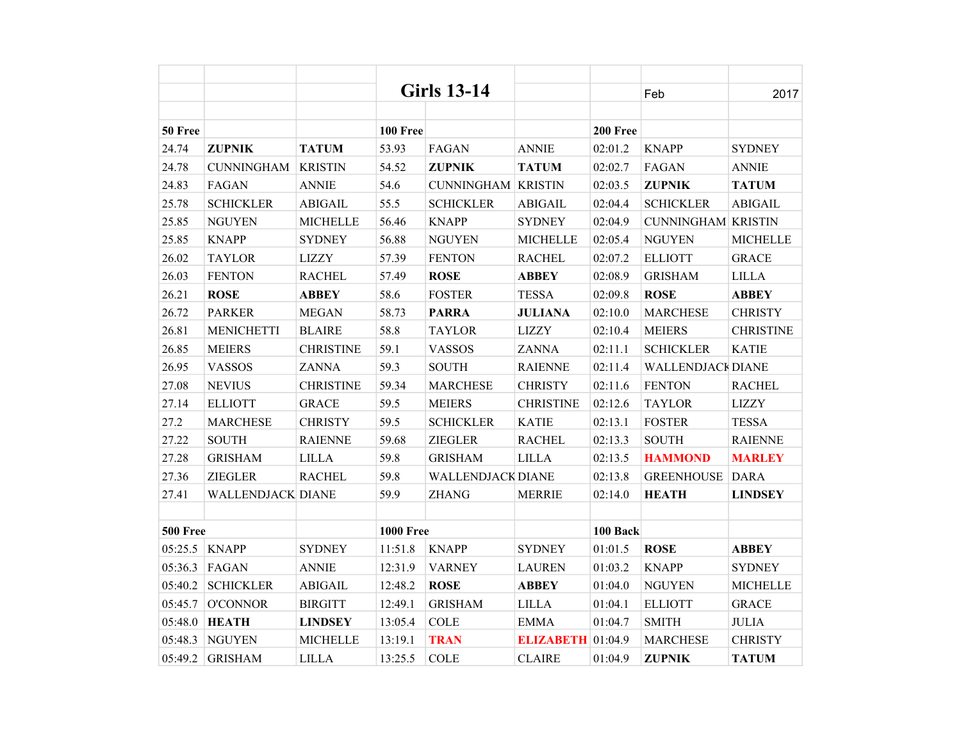|                 |                          |                  |                  | <b>Girls 13-14</b>        |                  |          | Feb                       | 2017             |
|-----------------|--------------------------|------------------|------------------|---------------------------|------------------|----------|---------------------------|------------------|
|                 |                          |                  |                  |                           |                  |          |                           |                  |
| 50 Free         |                          |                  | 100 Free         |                           |                  | 200 Free |                           |                  |
| 24.74           | <b>ZUPNIK</b>            | <b>TATUM</b>     | 53.93            | FAGAN                     | <b>ANNIE</b>     | 02:01.2  | <b>KNAPP</b>              | <b>SYDNEY</b>    |
| 24.78           | <b>CUNNINGHAM</b>        | <b>KRISTIN</b>   | 54.52            | <b>ZUPNIK</b>             | <b>TATUM</b>     | 02:02.7  | FAGAN                     | <b>ANNIE</b>     |
| 24.83           | FAGAN                    | <b>ANNIE</b>     | 54.6             | <b>CUNNINGHAM KRISTIN</b> |                  | 02:03.5  | <b>ZUPNIK</b>             | <b>TATUM</b>     |
| 25.78           | <b>SCHICKLER</b>         | <b>ABIGAIL</b>   | 55.5             | <b>SCHICKLER</b>          | <b>ABIGAIL</b>   | 02:04.4  | <b>SCHICKLER</b>          | <b>ABIGAIL</b>   |
| 25.85           | <b>NGUYEN</b>            | <b>MICHELLE</b>  | 56.46            | <b>KNAPP</b>              | <b>SYDNEY</b>    | 02:04.9  | <b>CUNNINGHAM KRISTIN</b> |                  |
| 25.85           | <b>KNAPP</b>             | <b>SYDNEY</b>    | 56.88            | <b>NGUYEN</b>             | <b>MICHELLE</b>  | 02:05.4  | <b>NGUYEN</b>             | <b>MICHELLE</b>  |
| 26.02           | <b>TAYLOR</b>            | <b>LIZZY</b>     | 57.39            | <b>FENTON</b>             | <b>RACHEL</b>    | 02:07.2  | <b>ELLIOTT</b>            | <b>GRACE</b>     |
| 26.03           | <b>FENTON</b>            | <b>RACHEL</b>    | 57.49            | <b>ROSE</b>               | <b>ABBEY</b>     | 02:08.9  | <b>GRISHAM</b>            | <b>LILLA</b>     |
| 26.21           | <b>ROSE</b>              | <b>ABBEY</b>     | 58.6             | <b>FOSTER</b>             | <b>TESSA</b>     | 02:09.8  | <b>ROSE</b>               | <b>ABBEY</b>     |
| 26.72           | <b>PARKER</b>            | <b>MEGAN</b>     | 58.73            | <b>PARRA</b>              | <b>JULIANA</b>   | 02:10.0  | <b>MARCHESE</b>           | <b>CHRISTY</b>   |
| 26.81           | <b>MENICHETTI</b>        | <b>BLAIRE</b>    | 58.8             | <b>TAYLOR</b>             | <b>LIZZY</b>     | 02:10.4  | <b>MEIERS</b>             | <b>CHRISTINE</b> |
| 26.85           | <b>MEIERS</b>            | <b>CHRISTINE</b> | 59.1             | <b>VASSOS</b>             | <b>ZANNA</b>     | 02:11.1  | <b>SCHICKLER</b>          | <b>KATIE</b>     |
| 26.95           | <b>VASSOS</b>            | <b>ZANNA</b>     | 59.3             | <b>SOUTH</b>              | <b>RAIENNE</b>   | 02:11.4  | <b>WALLENDJACK DIANE</b>  |                  |
| 27.08           | <b>NEVIUS</b>            | <b>CHRISTINE</b> | 59.34            | <b>MARCHESE</b>           | <b>CHRISTY</b>   | 02:11.6  | <b>FENTON</b>             | <b>RACHEL</b>    |
| 27.14           | <b>ELLIOTT</b>           | <b>GRACE</b>     | 59.5             | <b>MEIERS</b>             | <b>CHRISTINE</b> | 02:12.6  | <b>TAYLOR</b>             | <b>LIZZY</b>     |
| 27.2            | <b>MARCHESE</b>          | <b>CHRISTY</b>   | 59.5             | <b>SCHICKLER</b>          | <b>KATIE</b>     | 02:13.1  | <b>FOSTER</b>             | <b>TESSA</b>     |
| 27.22           | <b>SOUTH</b>             | <b>RAIENNE</b>   | 59.68            | ZIEGLER                   | <b>RACHEL</b>    | 02:13.3  | <b>SOUTH</b>              | <b>RAIENNE</b>   |
| 27.28           | <b>GRISHAM</b>           | <b>LILLA</b>     | 59.8             | <b>GRISHAM</b>            | <b>LILLA</b>     | 02:13.5  | <b>HAMMOND</b>            | <b>MARLEY</b>    |
| 27.36           | <b>ZIEGLER</b>           | <b>RACHEL</b>    | 59.8             | <b>WALLENDJACK DIANE</b>  |                  | 02:13.8  | <b>GREENHOUSE</b>         | <b>DARA</b>      |
| 27.41           | <b>WALLENDJACK DIANE</b> |                  | 59.9             | <b>ZHANG</b>              | <b>MERRIE</b>    | 02:14.0  | <b>HEATH</b>              | <b>LINDSEY</b>   |
|                 |                          |                  |                  |                           |                  |          |                           |                  |
| <b>500 Free</b> |                          |                  | <b>1000 Free</b> |                           |                  | 100 Back |                           |                  |
| 05:25.5         | <b>KNAPP</b>             | <b>SYDNEY</b>    | 11:51.8          | <b>KNAPP</b>              | <b>SYDNEY</b>    | 01:01.5  | <b>ROSE</b>               | <b>ABBEY</b>     |
| 05:36.3         | FAGAN                    | <b>ANNIE</b>     | 12:31.9          | <b>VARNEY</b>             | <b>LAUREN</b>    | 01:03.2  | <b>KNAPP</b>              | <b>SYDNEY</b>    |
| 05:40.2         | <b>SCHICKLER</b>         | <b>ABIGAIL</b>   | 12:48.2          | <b>ROSE</b>               | <b>ABBEY</b>     | 01:04.0  | <b>NGUYEN</b>             | <b>MICHELLE</b>  |
| 05:45.7         | <b>O'CONNOR</b>          | <b>BIRGITT</b>   | 12:49.1          | <b>GRISHAM</b>            | <b>LILLA</b>     | 01:04.1  | <b>ELLIOTT</b>            | <b>GRACE</b>     |
| 05:48.0         | <b>HEATH</b>             | <b>LINDSEY</b>   | 13:05.4          | <b>COLE</b>               | <b>EMMA</b>      | 01:04.7  | <b>SMITH</b>              | <b>JULIA</b>     |
| 05:48.3         | <b>NGUYEN</b>            | <b>MICHELLE</b>  | 13:19.1          | <b>TRAN</b>               | <b>ELIZABETH</b> | 01:04.9  | <b>MARCHESE</b>           | <b>CHRISTY</b>   |
| 05:49.2         | <b>GRISHAM</b>           | <b>LILLA</b>     | 13:25.5          | <b>COLE</b>               | <b>CLAIRE</b>    | 01:04.9  | <b>ZUPNIK</b>             | <b>TATUM</b>     |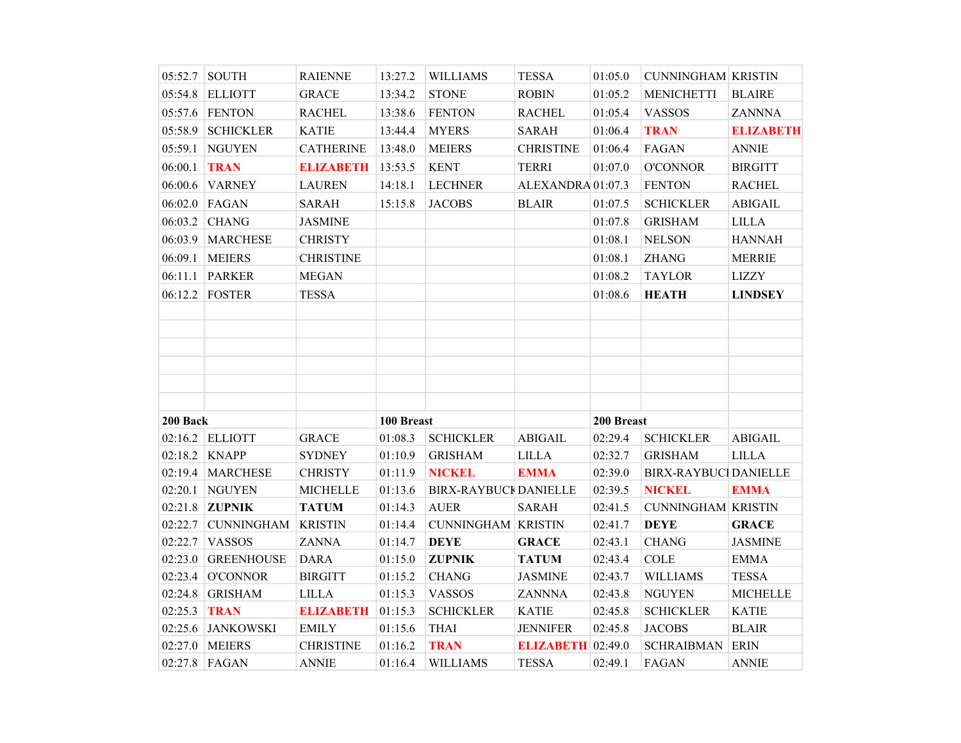|          | 05:52.7 SOUTH                   | <b>RAIENNE</b>                   | 13:27.2            | <b>WILLIAMS</b>                | <b>TESSA</b>                             | 01:05.0    | <b>CUNNINGHAM KRISTIN</b>   |                             |
|----------|---------------------------------|----------------------------------|--------------------|--------------------------------|------------------------------------------|------------|-----------------------------|-----------------------------|
|          | 05:54.8 ELLIOTT                 | <b>GRACE</b>                     | 13:34.2            | <b>STONE</b>                   | <b>ROBIN</b>                             | 01:05.2    | <b>MENICHETTI</b>           | <b>BLAIRE</b>               |
|          | 05:57.6 FENTON                  | <b>RACHEL</b>                    | 13:38.6            | <b>FENTON</b>                  | <b>RACHEL</b>                            | 01:05.4    | <b>VASSOS</b>               | <b>ZANNNA</b>               |
| 05:58.9  | <b>SCHICKLER</b>                | <b>KATIE</b>                     | 13:44.4            | <b>MYERS</b>                   | <b>SARAH</b>                             | 01:06.4    | <b>TRAN</b>                 | <b>ELIZABETH</b>            |
| 05:59.1  | <b>NGUYEN</b>                   | <b>CATHERINE</b>                 | 13:48.0            | <b>MEIERS</b>                  | <b>CHRISTINE</b>                         | 01:06.4    | FAGAN                       | <b>ANNIE</b>                |
| 06:00.1  | <b>TRAN</b>                     | <b>ELIZABETH</b>                 | 13:53.5            | <b>KENT</b>                    | <b>TERRI</b>                             | 01:07.0    | O'CONNOR                    | <b>BIRGITT</b>              |
| 06:00.6  | <b>VARNEY</b>                   | <b>LAUREN</b>                    | 14:18.1            | <b>LECHNER</b>                 | ALEXANDRA 01:07.3                        |            | <b>FENTON</b>               | <b>RACHEL</b>               |
|          | 06:02.0 FAGAN                   | <b>SARAH</b>                     | 15:15.8            | <b>JACOBS</b>                  | <b>BLAIR</b>                             | 01:07.5    | <b>SCHICKLER</b>            | <b>ABIGAIL</b>              |
| 06:03.2  | <b>CHANG</b>                    | <b>JASMINE</b>                   |                    |                                |                                          | 01:07.8    | <b>GRISHAM</b>              | <b>LILLA</b>                |
|          | 06:03.9 MARCHESE                | <b>CHRISTY</b>                   |                    |                                |                                          | 01:08.1    | <b>NELSON</b>               | <b>HANNAH</b>               |
| 06:09.1  | <b>MEIERS</b>                   | <b>CHRISTINE</b>                 |                    |                                |                                          | 01:08.1    | <b>ZHANG</b>                | <b>MERRIE</b>               |
| 06:11.1  | <b>PARKER</b>                   | <b>MEGAN</b>                     |                    |                                |                                          | 01:08.2    | <b>TAYLOR</b>               | <b>LIZZY</b>                |
|          | 06:12.2 FOSTER                  | <b>TESSA</b>                     |                    |                                |                                          | 01:08.6    | <b>HEATH</b>                | <b>LINDSEY</b>              |
|          |                                 |                                  |                    |                                |                                          |            |                             |                             |
|          |                                 |                                  |                    |                                |                                          |            |                             |                             |
|          |                                 |                                  |                    |                                |                                          |            |                             |                             |
|          |                                 |                                  |                    |                                |                                          |            |                             |                             |
|          |                                 |                                  |                    |                                |                                          |            |                             |                             |
|          |                                 |                                  |                    |                                |                                          |            |                             |                             |
| 200 Back |                                 |                                  | 100 Breast         |                                |                                          | 200 Breast |                             |                             |
|          | 02:16.2 ELLIOTT                 | <b>GRACE</b>                     | 01:08.3            | <b>SCHICKLER</b>               | <b>ABIGAIL</b>                           | 02:29.4    | <b>SCHICKLER</b>            | <b>ABIGAIL</b>              |
|          | $02:18.2$ KNAPP                 | <b>SYDNEY</b>                    | 01:10.9            | <b>GRISHAM</b>                 | <b>LILLA</b>                             | 02:32.7    | <b>GRISHAM</b>              | <b>LILLA</b>                |
|          | 02:19.4   MARCHESE              | <b>CHRISTY</b>                   | 01:11.9            | <b>NICKEL</b>                  | <b>EMMA</b>                              | 02:39.0    | <b>BIRX-RAYBUC</b> DANIELLE |                             |
| 02:20.1  | <b>NGUYEN</b>                   | <b>MICHELLE</b>                  | 01:13.6            | <b>BIRX-RAYBUCI DANIELLE</b>   |                                          | 02:39.5    | <b>NICKEL</b>               | <b>EMMA</b>                 |
| 02:21.8  | <b>ZUPNIK</b>                   | <b>TATUM</b>                     | 01:14.3            | <b>AUER</b>                    | <b>SARAH</b>                             | 02:41.5    | <b>CUNNINGHAM KRISTIN</b>   |                             |
| 02:22.7  | <b>CUNNINGHAM</b>               | <b>KRISTIN</b>                   | 01:14.4            | <b>CUNNINGHAM KRISTIN</b>      |                                          | 02:41.7    | <b>DEYE</b>                 | <b>GRACE</b>                |
| 02:22.7  | <b>VASSOS</b>                   | <b>ZANNA</b>                     | 01:14.7            | <b>DEYE</b>                    | <b>GRACE</b>                             | 02:43.1    | <b>CHANG</b>                | <b>JASMINE</b>              |
| 02:23.0  | <b>GREENHOUSE</b>               | <b>DARA</b>                      | 01:15.0            | <b>ZUPNIK</b>                  | <b>TATUM</b>                             | 02:43.4    | <b>COLE</b>                 | <b>EMMA</b>                 |
| 02:23.4  | <b>O'CONNOR</b>                 | <b>BIRGITT</b>                   | 01:15.2            | <b>CHANG</b>                   | <b>JASMINE</b>                           | 02:43.7    | <b>WILLIAMS</b>             | <b>TESSA</b>                |
|          | 02:24.8 GRISHAM                 | <b>LILLA</b>                     | 01:15.3            | <b>VASSOS</b>                  | <b>ZANNNA</b>                            | 02:43.8    | <b>NGUYEN</b>               | <b>MICHELLE</b>             |
| 02:25.3  | <b>TRAN</b>                     | <b>ELIZABETH</b>                 | 01:15.3            | <b>SCHICKLER</b>               | <b>KATIE</b>                             | 02:45.8    | <b>SCHICKLER</b>            | <b>KATIE</b>                |
| 02:25.6  | <b>JANKOWSKI</b>                | <b>EMILY</b>                     | 01:15.6            | <b>THAI</b>                    | <b>JENNIFER</b>                          | 02:45.8    | <b>JACOBS</b>               | <b>BLAIR</b>                |
|          |                                 |                                  |                    |                                |                                          |            |                             |                             |
|          | 02:27.0 MEIERS<br>02:27.8 FAGAN | <b>CHRISTINE</b><br><b>ANNIE</b> | 01:16.2<br>01:16.4 | <b>TRAN</b><br><b>WILLIAMS</b> | <b>ELIZABETH</b> 02:49.0<br><b>TESSA</b> | 02:49.1    | <b>SCHRAIBMAN</b><br>FAGAN  | <b>ERIN</b><br><b>ANNIE</b> |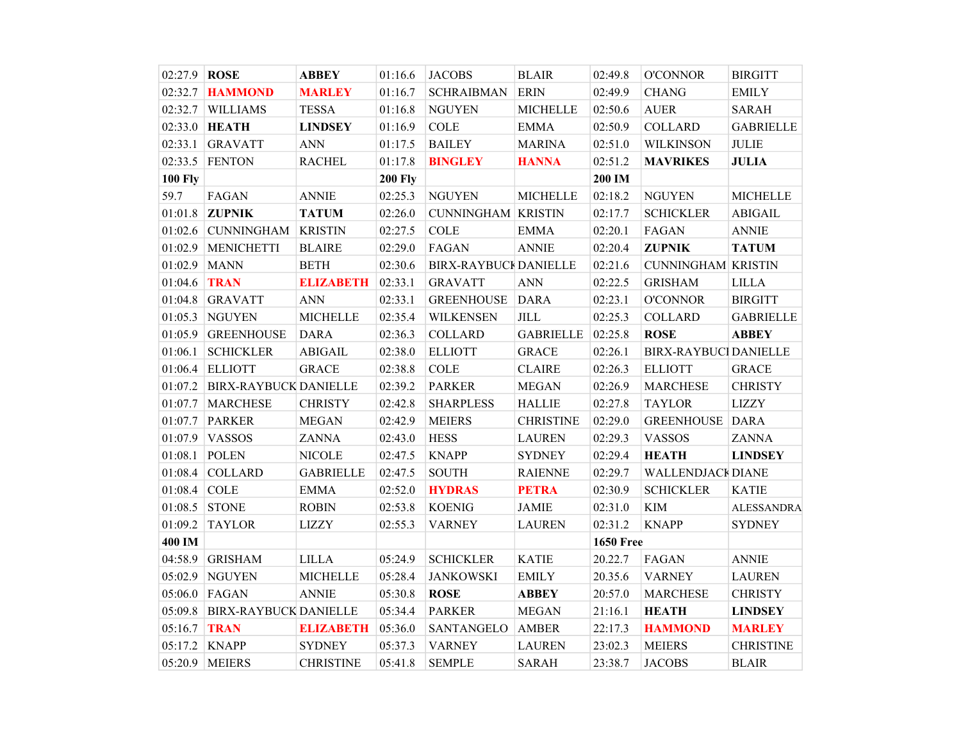| 02:27.9 ROSE   |                              | <b>ABBEY</b>     | 01:16.6        | <b>JACOBS</b>                | <b>BLAIR</b>     | 02:49.8          | <b>O'CONNOR</b>             | <b>BIRGITT</b>    |
|----------------|------------------------------|------------------|----------------|------------------------------|------------------|------------------|-----------------------------|-------------------|
| 02:32.7        | <b>HAMMOND</b>               | <b>MARLEY</b>    | 01:16.7        | <b>SCHRAIBMAN</b>            | <b>ERIN</b>      | 02:49.9          | <b>CHANG</b>                | <b>EMILY</b>      |
| 02:32.7        | <b>WILLIAMS</b>              | <b>TESSA</b>     | 01:16.8        | <b>NGUYEN</b>                | <b>MICHELLE</b>  | 02:50.6          | <b>AUER</b>                 | <b>SARAH</b>      |
| 02:33.0        | <b>HEATH</b>                 | <b>LINDSEY</b>   | 01:16.9        | <b>COLE</b>                  | <b>EMMA</b>      | 02:50.9          | <b>COLLARD</b>              | <b>GABRIELLE</b>  |
| 02:33.1        | <b>GRAVATT</b>               | <b>ANN</b>       | 01:17.5        | <b>BAILEY</b>                | <b>MARINA</b>    | 02:51.0          | <b>WILKINSON</b>            | <b>JULIE</b>      |
| 02:33.5        | <b>FENTON</b>                | <b>RACHEL</b>    | 01:17.8        | <b>BINGLEY</b>               | <b>HANNA</b>     | 02:51.2          | <b>MAVRIKES</b>             | <b>JULIA</b>      |
| <b>100 Fly</b> |                              |                  | <b>200 Fly</b> |                              |                  | 200 IM           |                             |                   |
| 59.7           | FAGAN                        | <b>ANNIE</b>     | 02:25.3        | <b>NGUYEN</b>                | <b>MICHELLE</b>  | 02:18.2          | <b>NGUYEN</b>               | <b>MICHELLE</b>   |
|                | 01:01.8 ZUPNIK               | <b>TATUM</b>     | 02:26.0        | <b>CUNNINGHAM KRISTIN</b>    |                  | 02:17.7          | <b>SCHICKLER</b>            | <b>ABIGAIL</b>    |
| 01:02.6        | <b>CUNNINGHAM</b>            | <b>KRISTIN</b>   | 02:27.5        | <b>COLE</b>                  | <b>EMMA</b>      | 02:20.1          | FAGAN                       | <b>ANNIE</b>      |
| 01:02.9        | <b>MENICHETTI</b>            | <b>BLAIRE</b>    | 02:29.0        | FAGAN                        | <b>ANNIE</b>     | 02:20.4          | <b>ZUPNIK</b>               | <b>TATUM</b>      |
| 01:02.9        | <b>MANN</b>                  | <b>BETH</b>      | 02:30.6        | <b>BIRX-RAYBUCI DANIELLE</b> |                  | 02:21.6          | <b>CUNNINGHAM KRISTIN</b>   |                   |
| 01:04.6        | <b>TRAN</b>                  | <b>ELIZABETH</b> | 02:33.1        | <b>GRAVATT</b>               | <b>ANN</b>       | 02:22.5          | <b>GRISHAM</b>              | <b>LILLA</b>      |
| 01:04.8        | <b>GRAVATT</b>               | <b>ANN</b>       | 02:33.1        | <b>GREENHOUSE</b>            | <b>DARA</b>      | 02:23.1          | <b>O'CONNOR</b>             | <b>BIRGITT</b>    |
| 01:05.3        | <b>NGUYEN</b>                | <b>MICHELLE</b>  | 02:35.4        | <b>WILKENSEN</b>             | $\textit{JILL}$  | 02:25.3          | <b>COLLARD</b>              | <b>GABRIELLE</b>  |
| 01:05.9        | <b>GREENHOUSE</b>            | <b>DARA</b>      | 02:36.3        | <b>COLLARD</b>               | <b>GABRIELLE</b> | 02:25.8          | <b>ROSE</b>                 | <b>ABBEY</b>      |
| 01:06.1        | <b>SCHICKLER</b>             | <b>ABIGAIL</b>   | 02:38.0        | <b>ELLIOTT</b>               | <b>GRACE</b>     | 02:26.1          | <b>BIRX-RAYBUC DANIELLE</b> |                   |
| 01:06.4        | <b>ELLIOTT</b>               | <b>GRACE</b>     | 02:38.8        | <b>COLE</b>                  | <b>CLAIRE</b>    | 02:26.3          | <b>ELLIOTT</b>              | <b>GRACE</b>      |
| 01:07.2        | <b>BIRX-RAYBUCK DANIELLE</b> |                  | 02:39.2        | <b>PARKER</b>                | <b>MEGAN</b>     | 02:26.9          | <b>MARCHESE</b>             | <b>CHRISTY</b>    |
| 01:07.7        | <b>MARCHESE</b>              | <b>CHRISTY</b>   | 02:42.8        | <b>SHARPLESS</b>             | <b>HALLIE</b>    | 02:27.8          | <b>TAYLOR</b>               | <b>LIZZY</b>      |
| 01:07.7        | <b>PARKER</b>                | <b>MEGAN</b>     | 02:42.9        | <b>MEIERS</b>                | <b>CHRISTINE</b> | 02:29.0          | <b>GREENHOUSE</b>           | <b>DARA</b>       |
| 01:07.9        | <b>VASSOS</b>                | <b>ZANNA</b>     | 02:43.0        | <b>HESS</b>                  | <b>LAUREN</b>    | 02:29.3          | <b>VASSOS</b>               | <b>ZANNA</b>      |
| 01:08.1        | <b>POLEN</b>                 | <b>NICOLE</b>    | 02:47.5        | <b>KNAPP</b>                 | <b>SYDNEY</b>    | 02:29.4          | <b>HEATH</b>                | <b>LINDSEY</b>    |
| 01:08.4        | <b>COLLARD</b>               | <b>GABRIELLE</b> | 02:47.5        | <b>SOUTH</b>                 | <b>RAIENNE</b>   | 02:29.7          | <b>WALLENDJACK DIANE</b>    |                   |
| 01:08.4        | <b>COLE</b>                  | <b>EMMA</b>      | 02:52.0        | <b>HYDRAS</b>                | <b>PETRA</b>     | 02:30.9          | <b>SCHICKLER</b>            | <b>KATIE</b>      |
| 01:08.5        | <b>STONE</b>                 | <b>ROBIN</b>     | 02:53.8        | <b>KOENIG</b>                | <b>JAMIE</b>     | 02:31.0          | $\mathop{\rm KIM}\nolimits$ | <b>ALESSANDRA</b> |
| 01:09.2        | <b>TAYLOR</b>                | <b>LIZZY</b>     | 02:55.3        | <b>VARNEY</b>                | <b>LAUREN</b>    | 02:31.2          | <b>KNAPP</b>                | <b>SYDNEY</b>     |
| 400 IM         |                              |                  |                |                              |                  | <b>1650 Free</b> |                             |                   |
| 04:58.9        | <b>GRISHAM</b>               | <b>LILLA</b>     | 05:24.9        | <b>SCHICKLER</b>             | <b>KATIE</b>     | 20.22.7          | FAGAN                       | <b>ANNIE</b>      |
| 05:02.9        | NGUYEN                       | <b>MICHELLE</b>  | 05:28.4        | <b>JANKOWSKI</b>             | <b>EMILY</b>     | 20.35.6          | <b>VARNEY</b>               | <b>LAUREN</b>     |
| 05:06.0        | FAGAN                        | <b>ANNIE</b>     | 05:30.8        | <b>ROSE</b>                  | <b>ABBEY</b>     | 20:57.0          | <b>MARCHESE</b>             | <b>CHRISTY</b>    |
| 05:09.8        | <b>BIRX-RAYBUCK DANIELLE</b> |                  | 05:34.4        | <b>PARKER</b>                | <b>MEGAN</b>     | 21:16.1          | <b>HEATH</b>                | <b>LINDSEY</b>    |
| 05:16.7        | <b>TRAN</b>                  | <b>ELIZABETH</b> | 05:36.0        | SANTANGELO                   | <b>AMBER</b>     | 22:17.3          | <b>HAMMOND</b>              | <b>MARLEY</b>     |
| 05:17.2        | <b>KNAPP</b>                 | <b>SYDNEY</b>    | 05:37.3        | <b>VARNEY</b>                | <b>LAUREN</b>    | 23:02.3          | <b>MEIERS</b>               | <b>CHRISTINE</b>  |
|                | 05:20.9 MEIERS               | <b>CHRISTINE</b> | 05:41.8        | <b>SEMPLE</b>                | <b>SARAH</b>     | 23:38.7          | <b>JACOBS</b>               | <b>BLAIR</b>      |